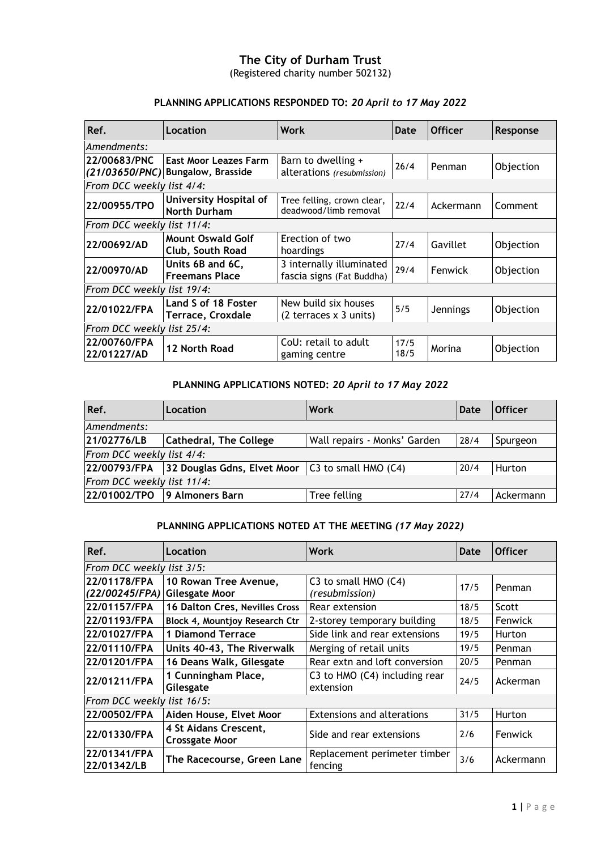## **The City of Durham Trust**

(Registered charity number 502132)

#### **PLANNING APPLICATIONS RESPONDED TO:** *20 April to 17 May 2022*

| Ref.                        | Location                                                          | Work                                                                  | Date         | <b>Officer</b>  | Response  |
|-----------------------------|-------------------------------------------------------------------|-----------------------------------------------------------------------|--------------|-----------------|-----------|
| Amendments:                 |                                                                   |                                                                       |              |                 |           |
| 22/00683/PNC                | <b>East Moor Leazes Farm</b><br>(21/03650/PNC) Bungalow, Brasside | Barn to dwelling +<br>alterations (resubmission)                      | 26/4         | Penman          | Objection |
| From DCC weekly list 4/4:   |                                                                   |                                                                       |              |                 |           |
| 22/00955/TPO                | University Hospital of<br><b>North Durham</b>                     | Tree felling, crown clear,<br>deadwood/limb removal                   | 22/4         | Ackermann       | Comment   |
| From DCC weekly list 11/4:  |                                                                   |                                                                       |              |                 |           |
| 22/00692/AD                 | <b>Mount Oswald Golf</b><br>Club, South Road                      | Erection of two<br>hoardings                                          | 27/4         | Gavillet        | Objection |
| 22/00970/AD                 | Units 6B and 6C,<br><b>Freemans Place</b>                         | 3 internally illuminated<br>fascia signs (Fat Buddha)                 | 29/4         | Fenwick         | Objection |
| From DCC weekly list 19/4:  |                                                                   |                                                                       |              |                 |           |
| 22/01022/FPA                | Land S of 18 Foster<br><b>Terrace, Croxdale</b>                   | New build six houses<br>$(2 \text{ terraces} \times 3 \text{ units})$ | 5/5          | <b>Jennings</b> | Objection |
| From DCC weekly list 25/4:  |                                                                   |                                                                       |              |                 |           |
| 22/00760/FPA<br>22/01227/AD | 12 North Road                                                     | CoU: retail to adult<br>gaming centre                                 | 17/5<br>18/5 | Morina          | Objection |

## **PLANNING APPLICATIONS NOTED:** *20 April to 17 May 2022*

| Ref.                       | Location                                             | Work                         | Date | <b>Officer</b> |  |
|----------------------------|------------------------------------------------------|------------------------------|------|----------------|--|
| Amendments:                |                                                      |                              |      |                |  |
| 21/02776/LB                | <b>Cathedral, The College</b>                        | Wall repairs - Monks' Garden | 28/4 | Spurgeon       |  |
| From DCC weekly list 4/4:  |                                                      |                              |      |                |  |
| 22/00793/FPA               | 32 Douglas Gdns, Elvet Moor $ C3 $ to small HMO (C4) |                              | 20/4 | Hurton         |  |
| From DCC weekly list 11/4: |                                                      |                              |      |                |  |
|                            | 22/01002/TPO 9 Almoners Barn                         | Tree felling                 | 27/4 | Ackermann      |  |

## **PLANNING APPLICATIONS NOTED AT THE MEETING** *(17 May 2022)*

| Ref.                           | Location                                       | Work                                       | <b>Date</b> | <b>Officer</b> |  |
|--------------------------------|------------------------------------------------|--------------------------------------------|-------------|----------------|--|
| From DCC weekly list 3/5:      |                                                |                                            |             |                |  |
| 22/01178/FPA<br>(22/00245/FPA) | 10 Rowan Tree Avenue,<br><b>Gilesgate Moor</b> | C3 to small HMO (C4)<br>(resubmission)     | 17/5        | Penman         |  |
| 22/01157/FPA                   | 16 Dalton Cres, Nevilles Cross                 | Rear extension                             | 18/5        | Scott          |  |
| 22/01193/FPA                   | Block 4, Mountjoy Research Ctr                 | 2-storey temporary building                | 18/5        | <b>Fenwick</b> |  |
| 22/01027/FPA                   | <b>1 Diamond Terrace</b>                       | Side link and rear extensions              | 19/5        | Hurton         |  |
| 22/01110/FPA                   | Units 40-43, The Riverwalk                     | Merging of retail units                    | 19/5        | Penman         |  |
| 22/01201/FPA                   | 16 Deans Walk, Gilesgate                       | Rear extn and loft conversion              | 20/5        | Penman         |  |
| 22/01211/FPA                   | 1 Cunningham Place,<br>Gilesgate               | C3 to HMO (C4) including rear<br>extension | 24/5        | Ackerman       |  |
| From DCC weekly list 16/5:     |                                                |                                            |             |                |  |
| 22/00502/FPA                   | Aiden House, Elvet Moor                        | <b>Extensions and alterations</b>          | 31/5        | Hurton         |  |
| 22/01330/FPA                   | 4 St Aidans Crescent,<br><b>Crossgate Moor</b> | Side and rear extensions                   | 2/6         | <b>Fenwick</b> |  |
| 22/01341/FPA<br>22/01342/LB    | The Racecourse, Green Lane                     | Replacement perimeter timber<br>fencing    | 3/6         | Ackermann      |  |